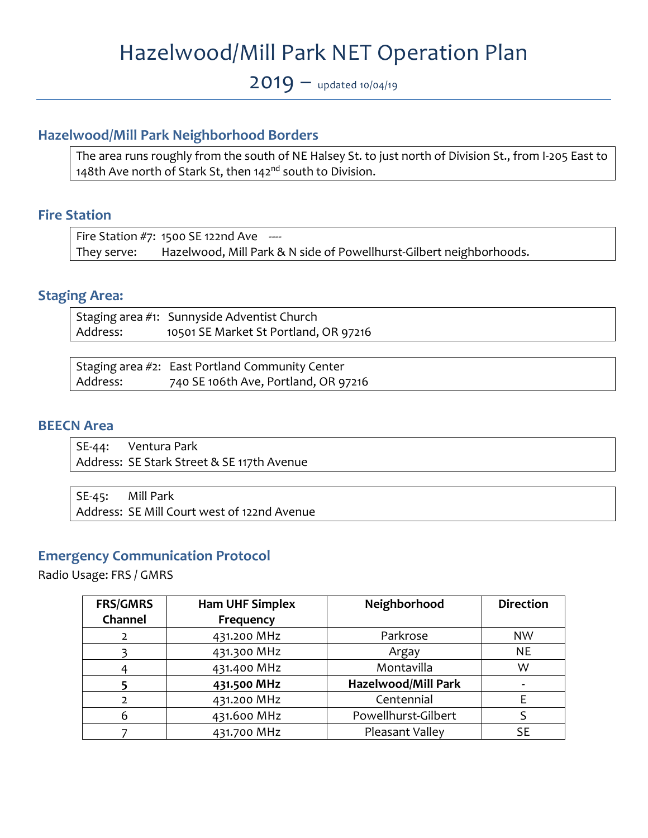# Hazelwood/Mill Park NET Operation Plan

 $2019 -$  updated 10/04/19

## **Hazelwood/Mill Park Neighborhood Borders**

The area runs roughly from the south of NE Halsey St. to just north of Division St., from I‐205 East to 148th Ave north of Stark St, then 142<sup>nd</sup> south to Division.

#### **Fire Station**

Fire Station #7: 1500 SE 122nd Ave  $-$ They serve: Hazelwood, Mill Park & N side of Powellhurst-Gilbert neighborhoods.

#### **Staging Area:**

Staging area #1: Sunnyside Adventist Church Address: 10501 SE Market St Portland, OR 97216

|          | Staging area #2: East Portland Community Center |
|----------|-------------------------------------------------|
| Address: | 740 SE 106th Ave, Portland, OR 97216            |

#### **BEECN Area**

SE-44: Ventura Park Address: SE Stark Street & SE 117th Avenue

SE-45: Mill Park Address: SE Mill Court west of 122nd Avenue

#### **Emergency Communication Protocol**

Radio Usage: FRS / GMRS

| <b>FRS/GMRS</b> | <b>Ham UHF Simplex</b> | Neighborhood               | <b>Direction</b>         |
|-----------------|------------------------|----------------------------|--------------------------|
| Channel         | Frequency              |                            |                          |
| 2               | 431.200 MHz            | Parkrose                   | <b>NW</b>                |
|                 | 431.300 MHz            | Argay                      | <b>NE</b>                |
|                 | 431.400 MHz            | Montavilla                 | W                        |
|                 | 431.500 MHz            | <b>Hazelwood/Mill Park</b> | $\overline{\phantom{a}}$ |
| 2               | 431.200 MHz            | Centennial                 |                          |
| 6               | 431.600 MHz            | Powellhurst-Gilbert        |                          |
|                 | 431.700 MHz            | Pleasant Valley            | <b>SE</b>                |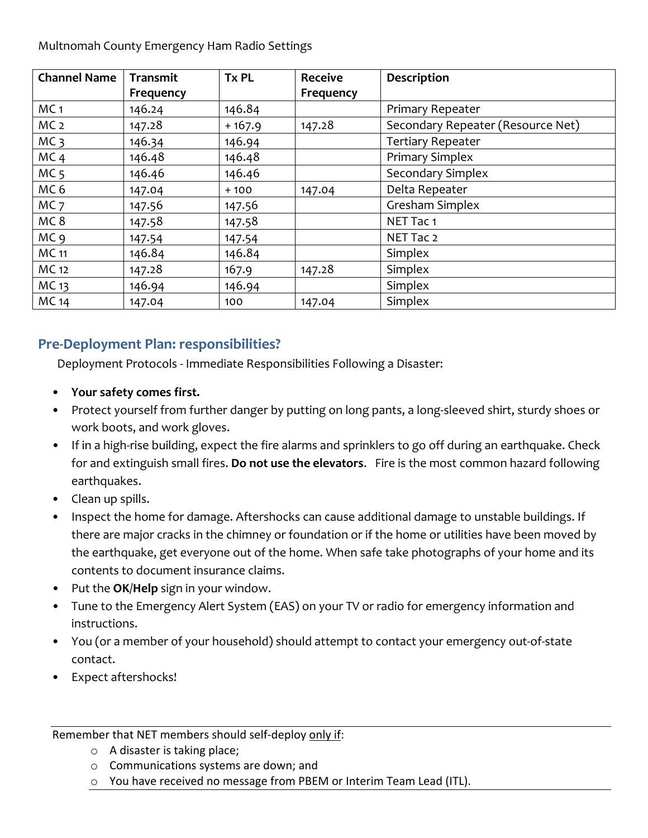Multnomah County Emergency Ham Radio Settings

| <b>Channel Name</b> | <b>Transmit</b> | <b>Tx PL</b> | <b>Receive</b> | Description                       |
|---------------------|-----------------|--------------|----------------|-----------------------------------|
|                     | Frequency       |              | Frequency      |                                   |
| MC <sub>1</sub>     | 146.24          | 146.84       |                | Primary Repeater                  |
| MC <sub>2</sub>     | 147.28          | $+167.9$     | 147.28         | Secondary Repeater (Resource Net) |
| MC <sub>3</sub>     | 146.34          | 146.94       |                | <b>Tertiary Repeater</b>          |
| MC <sub>4</sub>     | 146.48          | 146.48       |                | <b>Primary Simplex</b>            |
| MC <sub>5</sub>     | 146.46          | 146.46       |                | Secondary Simplex                 |
| MC <sub>6</sub>     | 147.04          | $+100$       | 147.04         | Delta Repeater                    |
| MC <sub>7</sub>     | 147.56          | 147.56       |                | Gresham Simplex                   |
| MC <sub>8</sub>     | 147.58          | 147.58       |                | NET Tac 1                         |
| MC <sub>9</sub>     | 147.54          | 147.54       |                | NET Tac 2                         |
| <b>MC</b> 11        | 146.84          | 146.84       |                | Simplex                           |
| MC 12               | 147.28          | 167.9        | 147.28         | Simplex                           |
| MC 13               | 146.94          | 146.94       |                | Simplex                           |
| <b>MC</b> 14        | 147.04          | 100          | 147.04         | Simplex                           |

# **Pre‐Deployment Plan: responsibilities?**

Deployment Protocols ‐ Immediate Responsibilities Following a Disaster:

- **Your safety comes first.**
- Protect yourself from further danger by putting on long pants, a long-sleeved shirt, sturdy shoes or work boots, and work gloves.
- If in a high-rise building, expect the fire alarms and sprinklers to go off during an earthquake. Check for and extinguish small fires. **Do not use the elevators**. Fire is the most common hazard following earthquakes.
- Clean up spills.
- Inspect the home for damage. Aftershocks can cause additional damage to unstable buildings. If there are major cracks in the chimney or foundation or if the home or utilities have been moved by the earthquake, get everyone out of the home. When safe take photographs of your home and its contents to document insurance claims.
- Put the **OK**/**Help** sign in your window.
- Tune to the Emergency Alert System (EAS) on your TV or radio for emergency information and instructions.
- You (or a member of your household) should attempt to contact your emergency out-of-state contact.
- Expect aftershocks!

#### Remember that NET members should self-deploy only if:

- o A disaster is taking place;
- o Communications systems are down; and
- o You have received no message from PBEM or Interim Team Lead (ITL).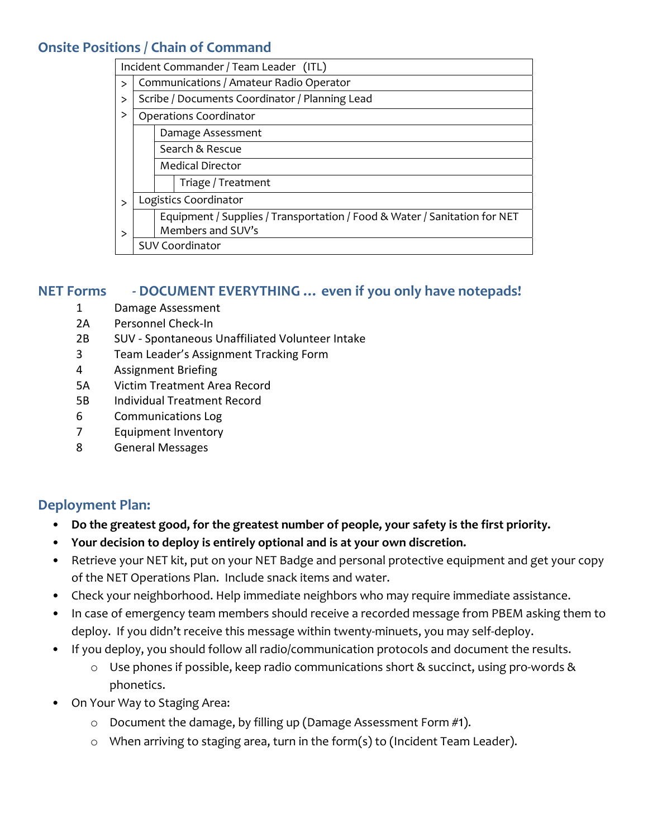## **Onsite Positions / Chain of Command**

|              | Incident Commander / Team Leader (ITL)                                    |  |  |
|--------------|---------------------------------------------------------------------------|--|--|
| $\geq$       | Communications / Amateur Radio Operator                                   |  |  |
| >            | Scribe / Documents Coordinator / Planning Lead                            |  |  |
| >            | <b>Operations Coordinator</b>                                             |  |  |
|              | Damage Assessment                                                         |  |  |
|              | Search & Rescue                                                           |  |  |
|              | <b>Medical Director</b>                                                   |  |  |
|              | Triage / Treatment                                                        |  |  |
| $\mathbf{I}$ | Logistics Coordinator                                                     |  |  |
|              | Equipment / Supplies / Transportation / Food & Water / Sanitation for NET |  |  |
| >            | Members and SUV's                                                         |  |  |
|              | <b>SUV Coordinator</b>                                                    |  |  |

## **NET Forms ‐ DOCUMENT EVERYTHING … even if you only have notepads!**

- 1 Damage Assessment
- 2A Personnel Check‐In
- 2B SUV ‐ Spontaneous Unaffiliated Volunteer Intake
- 3 Team Leader's Assignment Tracking Form
- 4 Assignment Briefing
- 5A Victim Treatment Area Record
- 5B Individual Treatment Record
- 6 Communications Log
- 7 Equipment Inventory
- 8 General Messages

## **Deployment Plan:**

- **Do the greatest good, for the greatest number of people, your safety is the first priority.**
- **Your decision to deploy is entirely optional and is at your own discretion.**
- Retrieve your NET kit, put on your NET Badge and personal protective equipment and get your copy of the NET Operations Plan. Include snack items and water.
- Check your neighborhood. Help immediate neighbors who may require immediate assistance.
- In case of emergency team members should receive a recorded message from PBEM asking them to deploy. If you didn't receive this message within twenty‐minuets, you may self‐deploy.
- If you deploy, you should follow all radio/communication protocols and document the results.
	- o Use phones if possible, keep radio communications short & succinct, using pro‐words & phonetics.
- On Your Way to Staging Area:
	- o Document the damage, by filling up (Damage Assessment Form #1).
	- o When arriving to staging area, turn in the form(s) to (Incident Team Leader).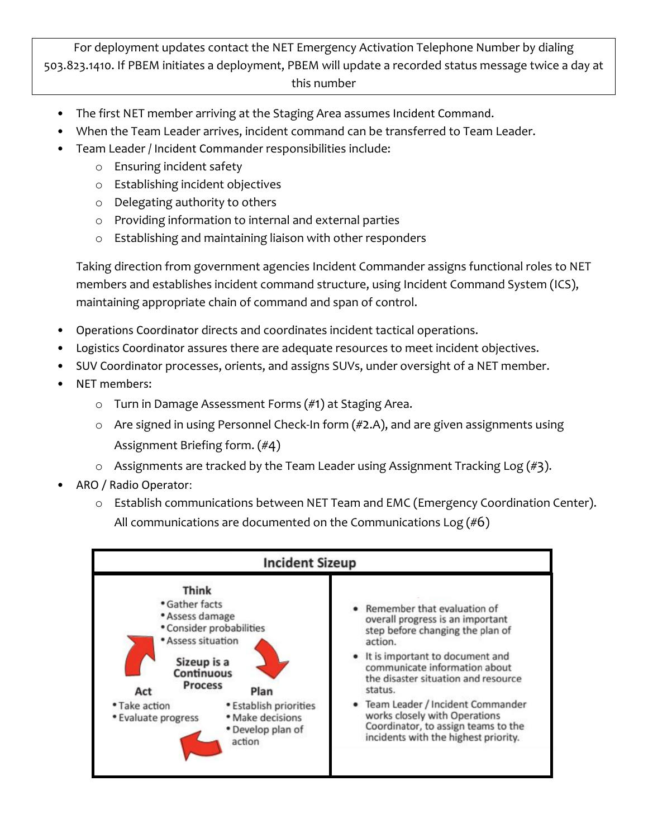## For deployment updates contact the NET Emergency Activation Telephone Number by dialing 503.823.1410. If PBEM initiates a deployment, PBEM will update a recorded status message twice a day at this number

- The first NET member arriving at the Staging Area assumes Incident Command.
- When the Team Leader arrives, incident command can be transferred to Team Leader.
- Team Leader / Incident Commander responsibilities include:
	- o Ensuring incident safety
	- o Establishing incident objectives
	- o Delegating authority to others
	- o Providing information to internal and external parties
	- o Establishing and maintaining liaison with other responders

Taking direction from government agencies Incident Commander assigns functional roles to NET members and establishes incident command structure, using Incident Command System (ICS), maintaining appropriate chain of command and span of control.

- Operations Coordinator directs and coordinates incident tactical operations.
- Logistics Coordinator assures there are adequate resources to meet incident objectives.
- SUV Coordinator processes, orients, and assigns SUVs, under oversight of a NET member.
- NET members:
	- o Turn in Damage Assessment Forms (#1) at Staging Area.
	- o Are signed in using Personnel Check‐In form (#2.A), and are given assignments using Assignment Briefing form. (#4)
	- $\circ$  Assignments are tracked by the Team Leader using Assignment Tracking Log (#3).
- ARO / Radio Operator:
	- o Establish communications between NET Team and EMC (Emergency Coordination Center). All communications are documented on the Communications Log  $(\#6)$

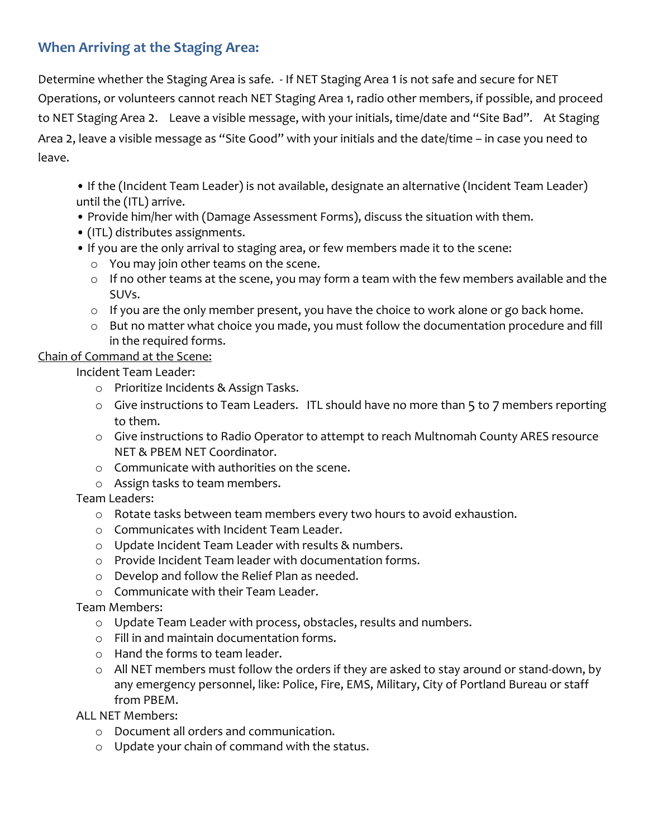# **When Arriving at the Staging Area:**

Determine whether the Staging Area is safe. ‐ If NET Staging Area 1 is not safe and secure for NET Operations, or volunteers cannot reach NET Staging Area 1, radio other members, if possible, and proceed to NET Staging Area 2. Leave a visible message, with your initials, time/date and "Site Bad". At Staging Area 2, leave a visible message as "Site Good" with your initials and the date/time – in case you need to leave.

- If the (Incident Team Leader) is not available, designate an alternative (Incident Team Leader) until the (ITL) arrive.
- Provide him/her with (Damage Assessment Forms), discuss the situation with them.
- (ITL) distributes assignments.
- If you are the only arrival to staging area, or few members made it to the scene:
	- o You may join other teams on the scene.
	- o If no other teams at the scene, you may form a team with the few members available and the SUVs.
	- $\circ$  If you are the only member present, you have the choice to work alone or go back home.
	- o But no matter what choice you made, you must follow the documentation procedure and fill in the required forms.

## Chain of Command at the Scene:

Incident Team Leader:

- o Prioritize Incidents & Assign Tasks.
- o Give instructions to Team Leaders. ITL should have no more than 5 to 7 members reporting to them.
- o Give instructions to Radio Operator to attempt to reach Multnomah County ARES resource NET & PBEM NET Coordinator.
- o Communicate with authorities on the scene.
- o Assign tasks to team members.

Team Leaders:

- o Rotate tasks between team members every two hours to avoid exhaustion.
- o Communicates with Incident Team Leader.
- o Update Incident Team Leader with results & numbers.
- o Provide Incident Team leader with documentation forms.
- o Develop and follow the Relief Plan as needed.
- o Communicate with their Team Leader.

Team Members:

- o Update Team Leader with process, obstacles, results and numbers.
- o Fill in and maintain documentation forms.
- o Hand the forms to team leader.
- o All NET members must follow the orders if they are asked to stay around or stand‐down, by any emergency personnel, like: Police, Fire, EMS, Military, City of Portland Bureau or staff from PBEM.

ALL NET Members:

- o Document all orders and communication.
- o Update your chain of command with the status.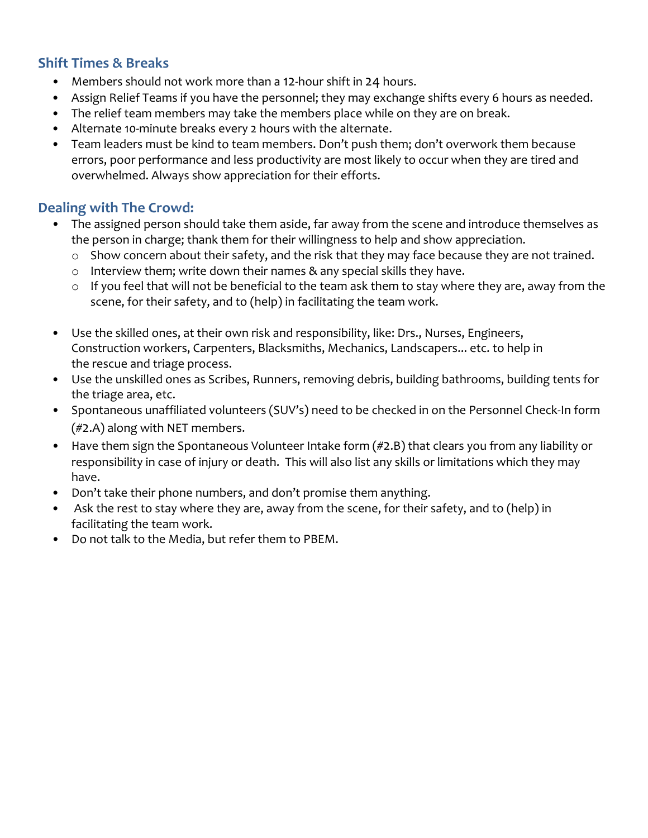## **Shift Times & Breaks**

- Members should not work more than a 12-hour shift in 24 hours.
- Assign Relief Teams if you have the personnel; they may exchange shifts every 6 hours as needed.
- The relief team members may take the members place while on they are on break.
- Alternate 10-minute breaks every 2 hours with the alternate.
- Team leaders must be kind to team members. Don't push them; don't overwork them because errors, poor performance and less productivity are most likely to occur when they are tired and overwhelmed. Always show appreciation for their efforts.

## **Dealing with The Crowd:**

- The assigned person should take them aside, far away from the scene and introduce themselves as the person in charge; thank them for their willingness to help and show appreciation.
	- o Show concern about their safety, and the risk that they may face because they are not trained.
	- o Interview them; write down their names & any special skills they have.
	- o If you feel that will not be beneficial to the team ask them to stay where they are, away from the scene, for their safety, and to (help) in facilitating the team work.
- Use the skilled ones, at their own risk and responsibility, like: Drs., Nurses, Engineers, Construction workers, Carpenters, Blacksmiths, Mechanics, Landscapers... etc. to help in the rescue and triage process.
- Use the unskilled ones as Scribes, Runners, removing debris, building bathrooms, building tents for the triage area, etc.
- Spontaneous unaffiliated volunteers (SUV's) need to be checked in on the Personnel Check-In form (#2.A) along with NET members.
- Have them sign the Spontaneous Volunteer Intake form (#2.B) that clears you from any liability or responsibility in case of injury or death. This will also list any skills or limitations which they may have.
- Don't take their phone numbers, and don't promise them anything.
- Ask the rest to stay where they are, away from the scene, for their safety, and to (help) in facilitating the team work.
- Do not talk to the Media, but refer them to PBEM.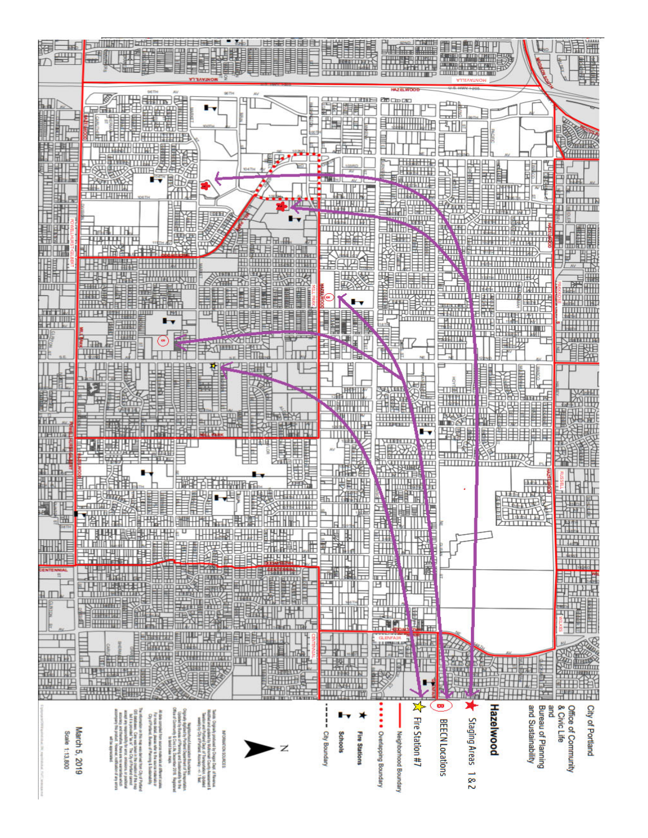